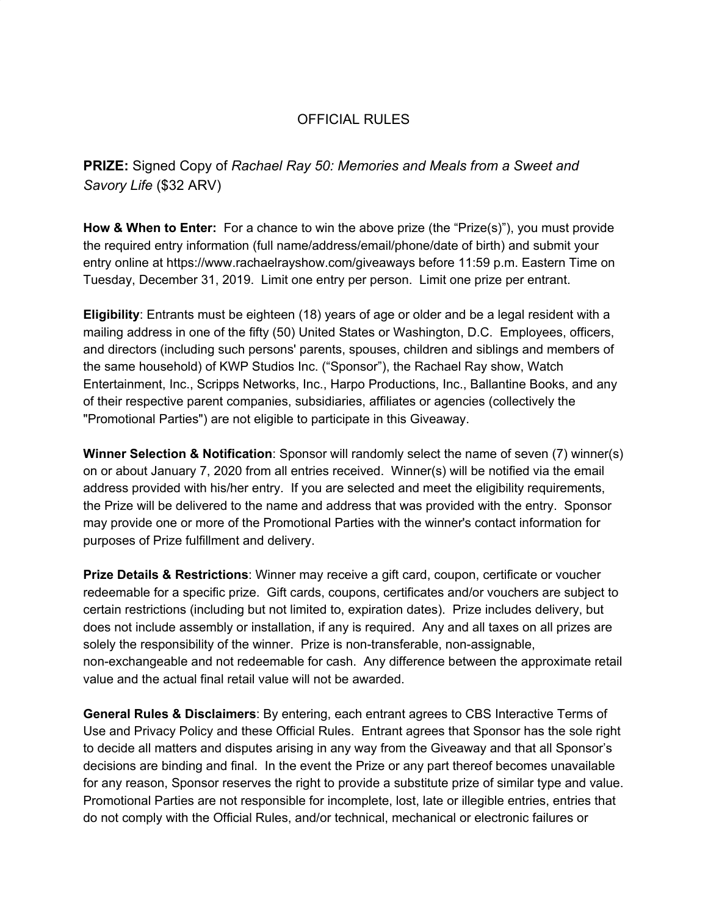## OFFICIAL RULES

**PRIZE:** Signed Copy of *Rachael Ray 50: Memories and Meals from a Sweet and Savory Life* (\$32 ARV)

**How & When to Enter:** For a chance to win the above prize (the "Prize(s)"), you must provide the required entry information (full name/address/email/phone/date of birth) and submit your entry online at https://www.rachaelrayshow.com/giveaways before 11:59 p.m. Eastern Time on Tuesday, December 31, 2019. Limit one entry per person. Limit one prize per entrant.

**Eligibility**: Entrants must be eighteen (18) years of age or older and be a legal resident with a mailing address in one of the fifty (50) United States or Washington, D.C. Employees, officers, and directors (including such persons' parents, spouses, children and siblings and members of the same household) of KWP Studios Inc. ("Sponsor"), the Rachael Ray show, Watch Entertainment, Inc., Scripps Networks, Inc., Harpo Productions, Inc., Ballantine Books, and any of their respective parent companies, subsidiaries, affiliates or agencies (collectively the "Promotional Parties") are not eligible to participate in this Giveaway.

**Winner Selection & Notification**: Sponsor will randomly select the name of seven (7) winner(s) on or about January 7, 2020 from all entries received. Winner(s) will be notified via the email address provided with his/her entry. If you are selected and meet the eligibility requirements, the Prize will be delivered to the name and address that was provided with the entry. Sponsor may provide one or more of the Promotional Parties with the winner's contact information for purposes of Prize fulfillment and delivery.

**Prize Details & Restrictions**: Winner may receive a gift card, coupon, certificate or voucher redeemable for a specific prize. Gift cards, coupons, certificates and/or vouchers are subject to certain restrictions (including but not limited to, expiration dates). Prize includes delivery, but does not include assembly or installation, if any is required. Any and all taxes on all prizes are solely the responsibility of the winner. Prize is non-transferable, non-assignable, non-exchangeable and not redeemable for cash. Any difference between the approximate retail value and the actual final retail value will not be awarded.

**General Rules & Disclaimers**: By entering, each entrant agrees to CBS Interactive Terms of Use and Privacy Policy and these Official Rules. Entrant agrees that Sponsor has the sole right to decide all matters and disputes arising in any way from the Giveaway and that all Sponsor's decisions are binding and final. In the event the Prize or any part thereof becomes unavailable for any reason, Sponsor reserves the right to provide a substitute prize of similar type and value. Promotional Parties are not responsible for incomplete, lost, late or illegible entries, entries that do not comply with the Official Rules, and/or technical, mechanical or electronic failures or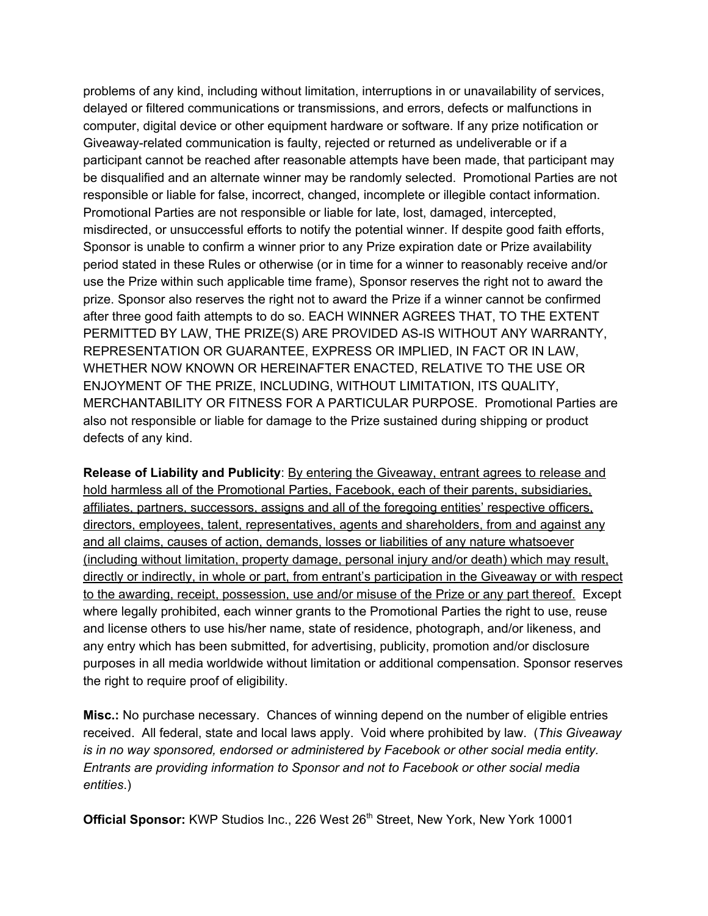problems of any kind, including without limitation, interruptions in or unavailability of services, delayed or filtered communications or transmissions, and errors, defects or malfunctions in computer, digital device or other equipment hardware or software. If any prize notification or Giveaway-related communication is faulty, rejected or returned as undeliverable or if a participant cannot be reached after reasonable attempts have been made, that participant may be disqualified and an alternate winner may be randomly selected. Promotional Parties are not responsible or liable for false, incorrect, changed, incomplete or illegible contact information. Promotional Parties are not responsible or liable for late, lost, damaged, intercepted, misdirected, or unsuccessful efforts to notify the potential winner. If despite good faith efforts, Sponsor is unable to confirm a winner prior to any Prize expiration date or Prize availability period stated in these Rules or otherwise (or in time for a winner to reasonably receive and/or use the Prize within such applicable time frame), Sponsor reserves the right not to award the prize. Sponsor also reserves the right not to award the Prize if a winner cannot be confirmed after three good faith attempts to do so. EACH WINNER AGREES THAT, TO THE EXTENT PERMITTED BY LAW, THE PRIZE(S) ARE PROVIDED AS-IS WITHOUT ANY WARRANTY, REPRESENTATION OR GUARANTEE, EXPRESS OR IMPLIED, IN FACT OR IN LAW, WHETHER NOW KNOWN OR HEREINAFTER ENACTED, RELATIVE TO THE USE OR ENJOYMENT OF THE PRIZE, INCLUDING, WITHOUT LIMITATION, ITS QUALITY, MERCHANTABILITY OR FITNESS FOR A PARTICULAR PURPOSE. Promotional Parties are also not responsible or liable for damage to the Prize sustained during shipping or product defects of any kind.

**Release of Liability and Publicity**: By entering the Giveaway, entrant agrees to release and hold harmless all of the Promotional Parties, Facebook, each of their parents, subsidiaries, affiliates, partners, successors, assigns and all of the foregoing entities' respective officers, directors, employees, talent, representatives, agents and shareholders, from and against any and all claims, causes of action, demands, losses or liabilities of any nature whatsoever (including without limitation, property damage, personal injury and/or death) which may result, directly or indirectly, in whole or part, from entrant's participation in the Giveaway or with respect to the awarding, receipt, possession, use and/or misuse of the Prize or any part thereof. Except where legally prohibited, each winner grants to the Promotional Parties the right to use, reuse and license others to use his/her name, state of residence, photograph, and/or likeness, and any entry which has been submitted, for advertising, publicity, promotion and/or disclosure purposes in all media worldwide without limitation or additional compensation. Sponsor reserves the right to require proof of eligibility.

**Misc.:** No purchase necessary. Chances of winning depend on the number of eligible entries received. All federal, state and local laws apply. Void where prohibited by law. (*This Giveaway is in no way sponsored, endorsed or administered by Facebook or other social media entity. Entrants are providing information to Sponsor and not to Facebook or other social media entities*.)

Official Sponsor: KWP Studios Inc., 226 West 26<sup>th</sup> Street, New York, New York 10001